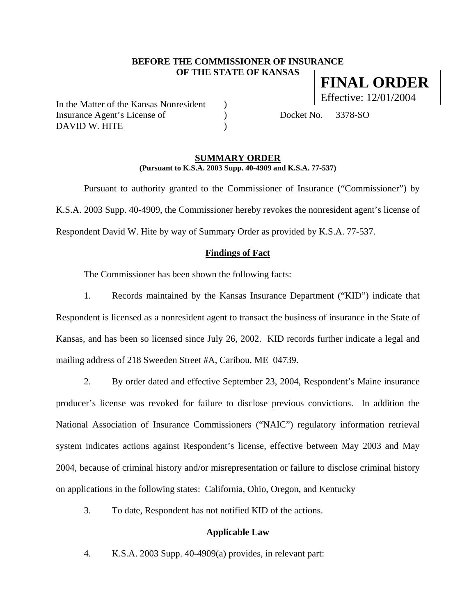#### **BEFORE THE COMMISSIONER OF INSURANCE OF THE STATE OF KANSAS FINAL ORDER**

In the Matter of the Kansas Nonresident ) Insurance Agent's License of (a) Docket No. 3378-SO DAVID W. HITE  $($ 

Effective: 12/01/2004

#### **SUMMARY ORDER (Pursuant to K.S.A. 2003 Supp. 40-4909 and K.S.A. 77-537)**

 Pursuant to authority granted to the Commissioner of Insurance ("Commissioner") by K.S.A. 2003 Supp. 40-4909, the Commissioner hereby revokes the nonresident agent's license of Respondent David W. Hite by way of Summary Order as provided by K.S.A. 77-537.

#### **Findings of Fact**

The Commissioner has been shown the following facts:

1. Records maintained by the Kansas Insurance Department ("KID") indicate that Respondent is licensed as a nonresident agent to transact the business of insurance in the State of Kansas, and has been so licensed since July 26, 2002. KID records further indicate a legal and mailing address of 218 Sweeden Street #A, Caribou, ME 04739.

2. By order dated and effective September 23, 2004, Respondent's Maine insurance producer's license was revoked for failure to disclose previous convictions. In addition the National Association of Insurance Commissioners ("NAIC") regulatory information retrieval system indicates actions against Respondent's license, effective between May 2003 and May 2004, because of criminal history and/or misrepresentation or failure to disclose criminal history on applications in the following states: California, Ohio, Oregon, and Kentucky

3. To date, Respondent has not notified KID of the actions.

#### **Applicable Law**

4. K.S.A. 2003 Supp. 40-4909(a) provides, in relevant part: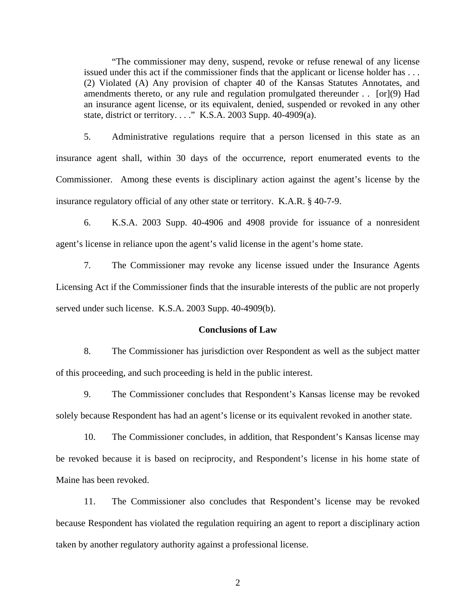"The commissioner may deny, suspend, revoke or refuse renewal of any license issued under this act if the commissioner finds that the applicant or license holder has . . . (2) Violated (A) Any provision of chapter 40 of the Kansas Statutes Annotates, and amendments thereto, or any rule and regulation promulgated thereunder . . [or](9) Had an insurance agent license, or its equivalent, denied, suspended or revoked in any other state, district or territory. . . ." K.S.A. 2003 Supp. 40-4909(a).

5. Administrative regulations require that a person licensed in this state as an insurance agent shall, within 30 days of the occurrence, report enumerated events to the Commissioner. Among these events is disciplinary action against the agent's license by the insurance regulatory official of any other state or territory. K.A.R. § 40-7-9.

6. K.S.A. 2003 Supp. 40-4906 and 4908 provide for issuance of a nonresident agent's license in reliance upon the agent's valid license in the agent's home state.

7. The Commissioner may revoke any license issued under the Insurance Agents Licensing Act if the Commissioner finds that the insurable interests of the public are not properly served under such license. K.S.A. 2003 Supp. 40-4909(b).

#### **Conclusions of Law**

8. The Commissioner has jurisdiction over Respondent as well as the subject matter of this proceeding, and such proceeding is held in the public interest.

9. The Commissioner concludes that Respondent's Kansas license may be revoked solely because Respondent has had an agent's license or its equivalent revoked in another state.

10. The Commissioner concludes, in addition, that Respondent's Kansas license may be revoked because it is based on reciprocity, and Respondent's license in his home state of Maine has been revoked.

11. The Commissioner also concludes that Respondent's license may be revoked because Respondent has violated the regulation requiring an agent to report a disciplinary action taken by another regulatory authority against a professional license.

2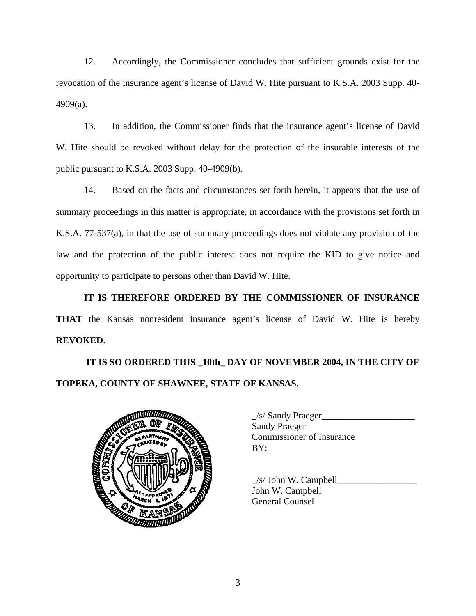12. Accordingly, the Commissioner concludes that sufficient grounds exist for the revocation of the insurance agent's license of David W. Hite pursuant to K.S.A. 2003 Supp. 40- 4909(a).

13. In addition, the Commissioner finds that the insurance agent's license of David W. Hite should be revoked without delay for the protection of the insurable interests of the public pursuant to K.S.A. 2003 Supp. 40-4909(b).

14. Based on the facts and circumstances set forth herein, it appears that the use of summary proceedings in this matter is appropriate, in accordance with the provisions set forth in K.S.A. 77-537(a), in that the use of summary proceedings does not violate any provision of the law and the protection of the public interest does not require the KID to give notice and opportunity to participate to persons other than David W. Hite.

**IT IS THEREFORE ORDERED BY THE COMMISSIONER OF INSURANCE THAT** the Kansas nonresident insurance agent's license of David W. Hite is hereby **REVOKED**.

# **IT IS SO ORDERED THIS \_10th\_ DAY OF NOVEMBER 2004, IN THE CITY OF TOPEKA, COUNTY OF SHAWNEE, STATE OF KANSAS.**



| $\angle$ s/ Sandy Praeger        |
|----------------------------------|
| <b>Sandy Praeger</b>             |
| <b>Commissioner of Insurance</b> |
| BY:                              |

 $\angle$ s/ John W. Campbell $\angle$ John W. Campbell General Counsel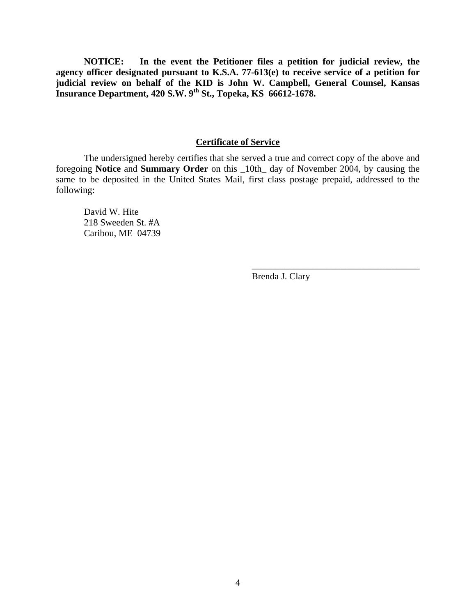**NOTICE: In the event the Petitioner files a petition for judicial review, the agency officer designated pursuant to K.S.A. 77-613(e) to receive service of a petition for judicial review on behalf of the KID is John W. Campbell, General Counsel, Kansas Insurance Department, 420 S.W. 9th St., Topeka, KS 66612-1678.** 

#### **Certificate of Service**

 The undersigned hereby certifies that she served a true and correct copy of the above and foregoing **Notice** and **Summary Order** on this \_10th\_ day of November 2004, by causing the same to be deposited in the United States Mail, first class postage prepaid, addressed to the following:

 $\overline{\phantom{a}}$  , which is a set of the set of the set of the set of the set of the set of the set of the set of the set of the set of the set of the set of the set of the set of the set of the set of the set of the set of th

 David W. Hite 218 Sweeden St. #A Caribou, ME 04739

Brenda J. Clary